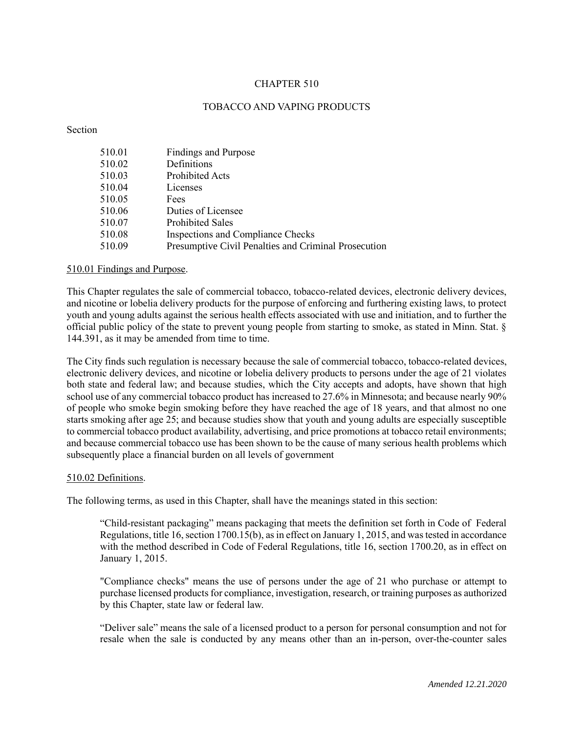# CHAPTER 510

# TOBACCO AND VAPING PRODUCTS

Section

| 510.01 | <b>Findings and Purpose</b>                          |
|--------|------------------------------------------------------|
| 510.02 | Definitions                                          |
| 510.03 | <b>Prohibited Acts</b>                               |
| 510.04 | Licenses                                             |
| 510.05 | Fees                                                 |
| 510.06 | Duties of Licensee                                   |
| 510.07 | <b>Prohibited Sales</b>                              |
| 510.08 | Inspections and Compliance Checks                    |
| 510.09 | Presumptive Civil Penalties and Criminal Prosecution |
|        |                                                      |

#### 510.01 Findings and Purpose.

This Chapter regulates the sale of commercial tobacco, tobacco-related devices, electronic delivery devices, and nicotine or lobelia delivery products for the purpose of enforcing and furthering existing laws, to protect youth and young adults against the serious health effects associated with use and initiation, and to further the official public policy of the state to prevent young people from starting to smoke, as stated in Minn. Stat. § 144.391, as it may be amended from time to time.

The City finds such regulation is necessary because the sale of commercial tobacco, tobacco-related devices, electronic delivery devices, and nicotine or lobelia delivery products to persons under the age of 21 violates both state and federal law; and because studies, which the City accepts and adopts, have shown that high school use of any commercial tobacco product has increased to 27.6% in Minnesota; and because nearly 90% of people who smoke begin smoking before they have reached the age of 18 years, and that almost no one starts smoking after age 25; and because studies show that youth and young adults are especially susceptible to commercial tobacco product availability, advertising, and price promotions at tobacco retail environments; and because commercial tobacco use has been shown to be the cause of many serious health problems which subsequently place a financial burden on all levels of government

#### 510.02 Definitions.

The following terms, as used in this Chapter, shall have the meanings stated in this section:

"Child-resistant packaging" means packaging that meets the definition set forth in Code of Federal Regulations, title 16, section 1700.15(b), as in effect on January 1, 2015, and was tested in accordance with the method described in Code of Federal Regulations, title 16, section 1700.20, as in effect on January 1, 2015.

"Compliance checks" means the use of persons under the age of 21 who purchase or attempt to purchase licensed products for compliance, investigation, research, or training purposes as authorized by this Chapter, state law or federal law.

"Deliver sale" means the sale of a licensed product to a person for personal consumption and not for resale when the sale is conducted by any means other than an in-person, over-the-counter sales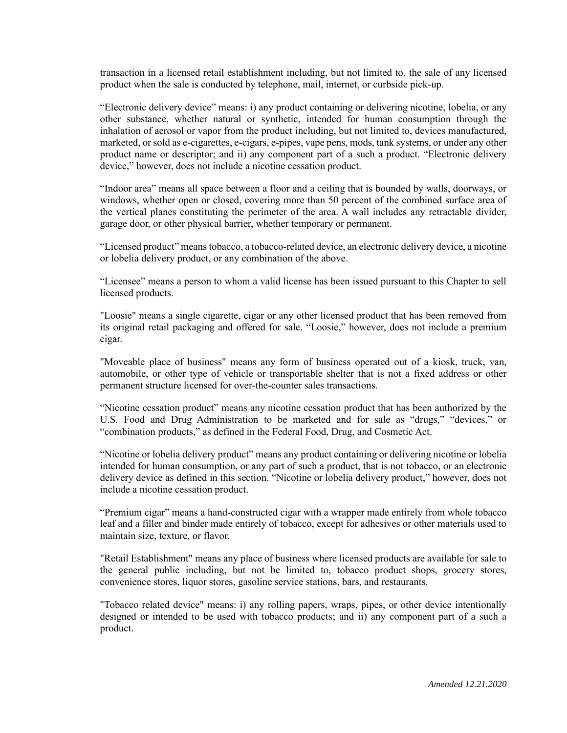transaction in a licensed retail establishment including, but not limited to, the sale of any licensed product when the sale is conducted by telephone, mail, internet, or curbside pick-up.

"Electronic delivery device" means: i) any product containing or delivering nicotine, lobelia, or any other substance, whether natural or synthetic, intended for human consumption through the inhalation of aerosol or vapor from the product including, but not limited to, devices manufactured, marketed, or sold as e-cigarettes, e-cigars, e-pipes, vape pens, mods, tank systems, or under any other product name or descriptor; and ii) any component part of a such a product. "Electronic delivery device," however, does not include a nicotine cessation product.

"Indoor area" means all space between a floor and a ceiling that is bounded by walls, doorways, or windows, whether open or closed, covering more than 50 percent of the combined surface area of the vertical planes constituting the perimeter of the area. A wall includes any retractable divider, garage door, or other physical barrier, whether temporary or permanent.

"Licensed product" meanstobacco, a tobacco-related device, an electronic delivery device, a nicotine or lobelia delivery product, or any combination of the above.

"Licensee" means a person to whom a valid license has been issued pursuant to this Chapter to sell licensed products.

"Loosie" means a single cigarette, cigar or any other licensed product that has been removed from its original retail packaging and offered for sale. "Loosie," however, does not include a premium cigar.

"Moveable place of business" means any form of business operated out of a kiosk, truck, van, automobile, or other type of vehicle or transportable shelter that is not a fixed address or other permanent structure licensed for over-the-counter sales transactions.

"Nicotine cessation product" means any nicotine cessation product that has been authorized by the U.S. Food and Drug Administration to be marketed and for sale as "drugs," "devices," or "combination products," as defined in the Federal Food, Drug, and Cosmetic Act.

"Nicotine or lobelia delivery product" means any product containing or delivering nicotine or lobelia intended for human consumption, or any part of such a product, that is not tobacco, or an electronic delivery device as defined in this section. "Nicotine or lobelia delivery product," however, does not include a nicotine cessation product.

"Premium cigar" means a hand-constructed cigar with a wrapper made entirely from whole tobacco leaf and a filler and binder made entirely of tobacco, except for adhesives or other materials used to maintain size, texture, or flavor.

"Retail Establishment" means any place of business where licensed products are available for sale to the general public including, but not be limited to, tobacco product shops, grocery stores, convenience stores, liquor stores, gasoline service stations, bars, and restaurants.

"Tobacco related device" means: i) any rolling papers, wraps, pipes, or other device intentionally designed or intended to be used with tobacco products; and ii) any component part of a such a product.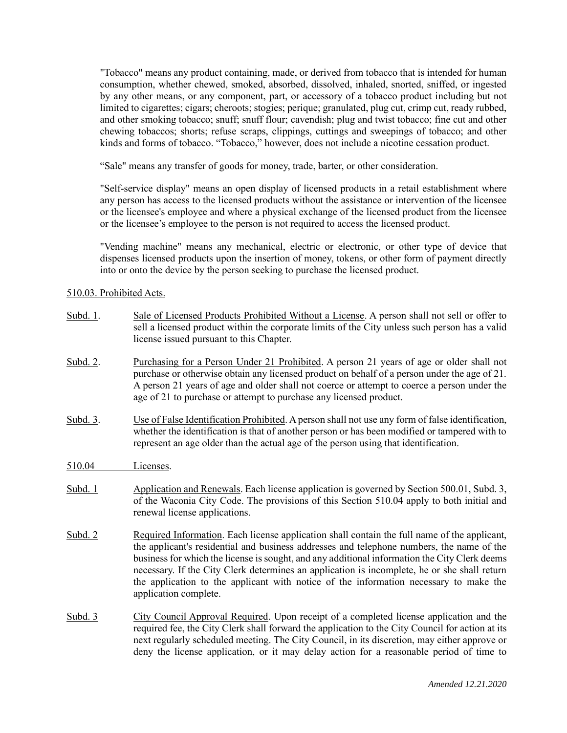"Tobacco" means any product containing, made, or derived from tobacco that is intended for human consumption, whether chewed, smoked, absorbed, dissolved, inhaled, snorted, sniffed, or ingested by any other means, or any component, part, or accessory of a tobacco product including but not limited to cigarettes; cigars; cheroots; stogies; perique; granulated, plug cut, crimp cut, ready rubbed, and other smoking tobacco; snuff; snuff flour; cavendish; plug and twist tobacco; fine cut and other chewing tobaccos; shorts; refuse scraps, clippings, cuttings and sweepings of tobacco; and other kinds and forms of tobacco. "Tobacco," however, does not include a nicotine cessation product.

"Sale" means any transfer of goods for money, trade, barter, or other consideration.

"Self-service display" means an open display of licensed products in a retail establishment where any person has access to the licensed products without the assistance or intervention of the licensee or the licensee's employee and where a physical exchange of the licensed product from the licensee or the licensee's employee to the person is not required to access the licensed product.

"Vending machine" means any mechanical, electric or electronic, or other type of device that dispenses licensed products upon the insertion of money, tokens, or other form of payment directly into or onto the device by the person seeking to purchase the licensed product.

### 510.03. Prohibited Acts.

| Subd. 1. | Sale of Licensed Products Prohibited Without a License. A person shall not sell or offer to<br>sell a licensed product within the corporate limits of the City unless such person has a valid<br>license issued pursuant to this Chapter.                                                                                                                                                                                                                                                                    |
|----------|--------------------------------------------------------------------------------------------------------------------------------------------------------------------------------------------------------------------------------------------------------------------------------------------------------------------------------------------------------------------------------------------------------------------------------------------------------------------------------------------------------------|
| Subd. 2. | Purchasing for a Person Under 21 Prohibited. A person 21 years of age or older shall not<br>purchase or otherwise obtain any licensed product on behalf of a person under the age of 21.<br>A person 21 years of age and older shall not coerce or attempt to coerce a person under the<br>age of 21 to purchase or attempt to purchase any licensed product.                                                                                                                                                |
| Subd. 3. | Use of False Identification Prohibited. A person shall not use any form of false identification,<br>whether the identification is that of another person or has been modified or tampered with to<br>represent an age older than the actual age of the person using that identification.                                                                                                                                                                                                                     |
| 510.04   | Licenses.                                                                                                                                                                                                                                                                                                                                                                                                                                                                                                    |
| Subd. 1  | Application and Renewals. Each license application is governed by Section 500.01, Subd. 3,<br>of the Waconia City Code. The provisions of this Section 510.04 apply to both initial and<br>renewal license applications.                                                                                                                                                                                                                                                                                     |
| Subd. 2  | Required Information. Each license application shall contain the full name of the applicant,<br>the applicant's residential and business addresses and telephone numbers, the name of the<br>business for which the license is sought, and any additional information the City Clerk deems<br>necessary. If the City Clerk determines an application is incomplete, he or she shall return<br>the application to the applicant with notice of the information necessary to make the<br>application complete. |
| Subd. 3  | City Council Approval Required. Upon receipt of a completed license application and the<br>required fee, the City Clerk shall forward the application to the City Council for action at its<br>next regularly scheduled meeting. The City Council, in its discretion, may either approve or<br>deny the license application, or it may delay action for a reasonable period of time to                                                                                                                       |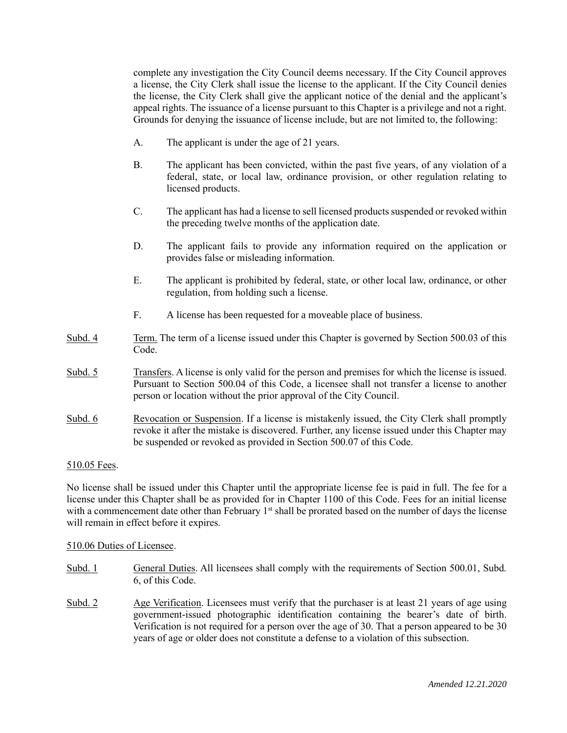complete any investigation the City Council deems necessary. If the City Council approves a license, the City Clerk shall issue the license to the applicant. If the City Council denies the license, the City Clerk shall give the applicant notice of the denial and the applicant's appeal rights. The issuance of a license pursuant to this Chapter is a privilege and not a right. Grounds for denying the issuance of license include, but are not limited to, the following:

- A. The applicant is under the age of 21 years.
- B. The applicant has been convicted, within the past five years, of any violation of a federal, state, or local law, ordinance provision, or other regulation relating to licensed products.
- C. The applicant has had a license to sell licensed productssuspended or revoked within the preceding twelve months of the application date.
- D. The applicant fails to provide any information required on the application or provides false or misleading information.
- E. The applicant is prohibited by federal, state, or other local law, ordinance, or other regulation, from holding such a license.
- F. A license has been requested for a moveable place of business.
- Subd. 4 Term. The term of a license issued under this Chapter is governed by Section 500.03 of this Code.
- Subd. 5 Transfers. A license is only valid for the person and premises for which the license is issued. Pursuant to Section 500.04 of this Code, a licensee shall not transfer a license to another person or location without the prior approval of the City Council.
- Subd. 6 Revocation or Suspension. If a license is mistakenly issued, the City Clerk shall promptly revoke it after the mistake is discovered. Further, any license issued under this Chapter may be suspended or revoked as provided in Section 500.07 of this Code.

# 510.05 Fees.

No license shall be issued under this Chapter until the appropriate license fee is paid in full. The fee for a license under this Chapter shall be as provided for in Chapter 1100 of this Code. Fees for an initial license with a commencement date other than February  $1<sup>st</sup>$  shall be prorated based on the number of days the license will remain in effect before it expires.

#### 510.06 Duties of Licensee.

- Subd. 1 General Duties. All licensees shall comply with the requirements of Section 500.01, Subd. 6, of this Code.
- Subd. 2 Age Verification. Licensees must verify that the purchaser is at least 21 years of age using government-issued photographic identification containing the bearer's date of birth. Verification is not required for a person over the age of 30. That a person appeared to be 30 years of age or older does not constitute a defense to a violation of this subsection.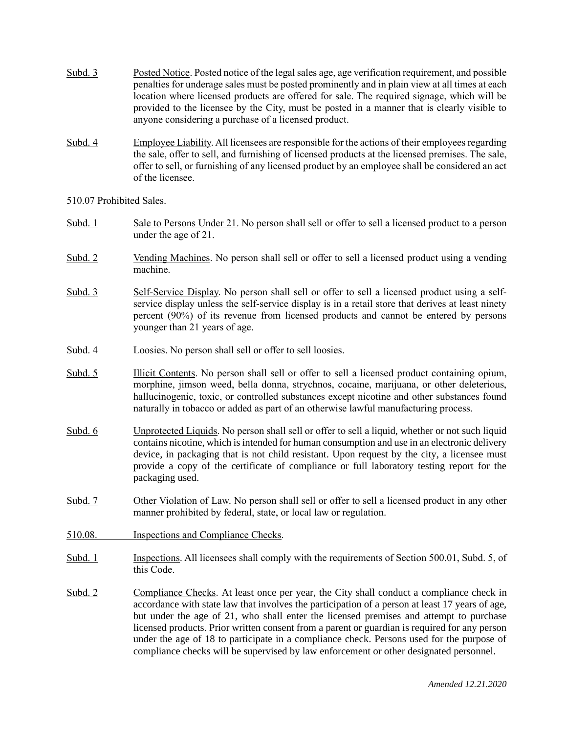- Subd. 3 Posted Notice. Posted notice of the legal sales age, age verification requirement, and possible penalties for underage sales must be posted prominently and in plain view at all times at each location where licensed products are offered for sale. The required signage, which will be provided to the licensee by the City, must be posted in a manner that is clearly visible to anyone considering a purchase of a licensed product.
- Subd. 4 Employee Liability. All licensees are responsible for the actions of their employees regarding the sale, offer to sell, and furnishing of licensed products at the licensed premises. The sale, offer to sell, or furnishing of any licensed product by an employee shall be considered an act of the licensee.

### 510.07 Prohibited Sales.

- Subd. 1 Sale to Persons Under 21. No person shall sell or offer to sell a licensed product to a person under the age of 21.
- Subd. 2 Vending Machines. No person shall sell or offer to sell a licensed product using a vending machine.
- Subd. 3 Self-Service Display. No person shall sell or offer to sell a licensed product using a selfservice display unless the self-service display is in a retail store that derives at least ninety percent (90%) of its revenue from licensed products and cannot be entered by persons younger than 21 years of age.
- Subd. 4 Loosies. No person shall sell or offer to sell loosies.
- Subd. 5 Illicit Contents. No person shall sell or offer to sell a licensed product containing opium, morphine, jimson weed, bella donna, strychnos, cocaine, marijuana, or other deleterious, hallucinogenic, toxic, or controlled substances except nicotine and other substances found naturally in tobacco or added as part of an otherwise lawful manufacturing process.
- Subd. 6 Unprotected Liquids. No person shall sell or offer to sell a liquid, whether or not such liquid contains nicotine, which is intended for human consumption and use in an electronic delivery device, in packaging that is not child resistant. Upon request by the city, a licensee must provide a copy of the certificate of compliance or full laboratory testing report for the packaging used.
- Subd. 7 Other Violation of Law. No person shall sell or offer to sell a licensed product in any other manner prohibited by federal, state, or local law or regulation.
- 510.08. Inspections and Compliance Checks.
- Subd. 1 Inspections. All licensees shall comply with the requirements of Section 500.01, Subd. 5, of this Code.
- Subd. 2 Compliance Checks. At least once per year, the City shall conduct a compliance check in accordance with state law that involves the participation of a person at least 17 years of age, but under the age of 21, who shall enter the licensed premises and attempt to purchase licensed products. Prior written consent from a parent or guardian is required for any person under the age of 18 to participate in a compliance check. Persons used for the purpose of compliance checks will be supervised by law enforcement or other designated personnel.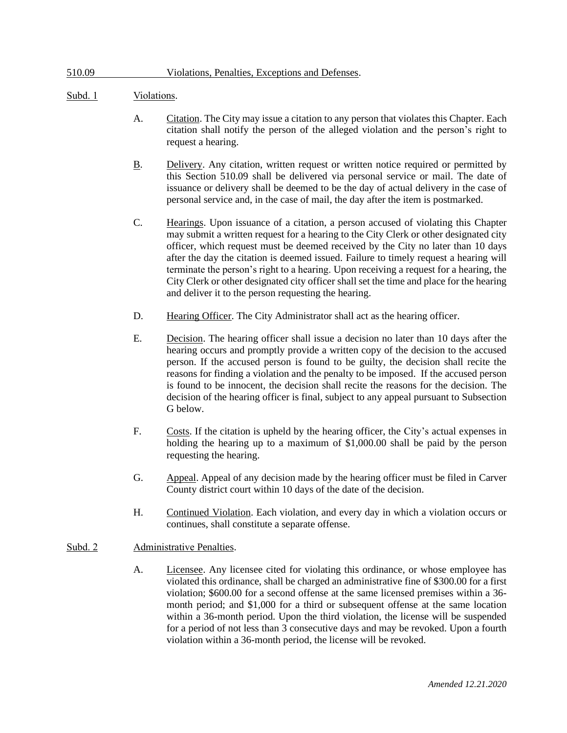# 510.09 Violations, Penalties, Exceptions and Defenses.

## Subd. 1 Violations.

- A. Citation. The City may issue a citation to any person that violates this Chapter. Each citation shall notify the person of the alleged violation and the person's right to request a hearing.
- B. Delivery. Any citation, written request or written notice required or permitted by this Section 510.09 shall be delivered via personal service or mail. The date of issuance or delivery shall be deemed to be the day of actual delivery in the case of personal service and, in the case of mail, the day after the item is postmarked.
- C. Hearings. Upon issuance of a citation, a person accused of violating this Chapter may submit a written request for a hearing to the City Clerk or other designated city officer, which request must be deemed received by the City no later than 10 days after the day the citation is deemed issued. Failure to timely request a hearing will terminate the person's right to a hearing. Upon receiving a request for a hearing, the City Clerk or other designated city officer shall set the time and place for the hearing and deliver it to the person requesting the hearing.
- D. Hearing Officer. The City Administrator shall act as the hearing officer.
- E. Decision. The hearing officer shall issue a decision no later than 10 days after the hearing occurs and promptly provide a written copy of the decision to the accused person. If the accused person is found to be guilty, the decision shall recite the reasons for finding a violation and the penalty to be imposed. If the accused person is found to be innocent, the decision shall recite the reasons for the decision. The decision of the hearing officer is final, subject to any appeal pursuant to Subsection G below.
- F. Costs. If the citation is upheld by the hearing officer, the City's actual expenses in holding the hearing up to a maximum of \$1,000.00 shall be paid by the person requesting the hearing.
- G. Appeal. Appeal of any decision made by the hearing officer must be filed in Carver County district court within 10 days of the date of the decision.
- H. Continued Violation. Each violation, and every day in which a violation occurs or continues, shall constitute a separate offense.

# Subd. 2 Administrative Penalties.

A. Licensee. Any licensee cited for violating this ordinance, or whose employee has violated this ordinance, shall be charged an administrative fine of \$300.00 for a first violation; \$600.00 for a second offense at the same licensed premises within a 36 month period; and \$1,000 for a third or subsequent offense at the same location within a 36-month period. Upon the third violation, the license will be suspended for a period of not less than 3 consecutive days and may be revoked. Upon a fourth violation within a 36-month period, the license will be revoked.